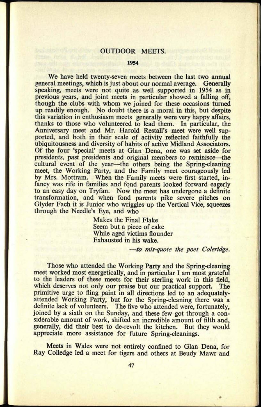## OUTDOOR MEETS.

## **1954**

We have held twenty-seven meets between the last two annual general meetings, which is just about our normal average. Generally speaking, meets were not quite as well supported in 1954 as in previous years, and joint meets in particular showed a falling off, though the clubs with whom we joined for these occasions turned up readily enough. No doubt there is a moral in this, but despite this variation in enthusiasm meets generally were very happy affairs, thanks to those who volunteered to lead them. In particular, the Anniversary meet and Mr. Harold Restall's meet were well supported, and both in their scale of activity reflected faithfully the ubiquitousness and diversity of habits of active Midland Associators. Of the four 'special' meets at Glan Dena, one was set aside for presidents, past presidents and original members to reminisce—the cultural event of the year—the others being the Spring-cleaning meet, the Working Party, and the Family meet courageously led by Mrs. Mottram. When the Family meets were first started, infancy was rife in families and fond parents looked forward eagerly to an easy day on Tryfan. Now the meet has undergone a definite transformation, and when fond parents pike severe pitches on Glyder Fach it is Junior who wriggles up the Vertical Vice, squeezes through the Needle's Eye, and who

> Makes the Final Flake Seem but a piece of cake While aged victims flounder Exhausted in his wake.

> > *to mis-quote the poet Coleridge.*

Those who attended the Working Party and the Spring-cleaning meet worked most energetically, and in particular I am most grateful to the leaders of these meets for their sterling work in this field, which deserves not only our praise but our practical support. The primitive urge to fling paint in all directions led to an adequatelyattended Working Party, but for the Spring-cleaning there was <sup>a</sup> definite lack of volunteers. The five who attended were, fortunately, joined by a sixth on the Sunday, and these few got through a considerable amount of work, shifted an incredible amount of filth and, generally, did their best to de-revolt the kitchen. But they would appreciate more assistance for future Spring-cleanings.

Meets in Wales were not entirely confined to Glan Dena, for Ray Colledge led a meet for tigers and others at Beudy Mawr and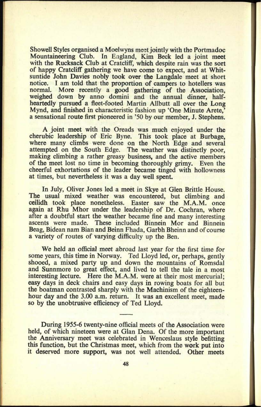Showell Styles organised a Moelwyns meet jointly with the Portmadoc Mountaineering Club. In England, Kim Beck led a joint meet with the Rucksack Club at Cratcliff, which despite rain was the sort of happy Cratcliff gathering we have come to expect, and at Whitsuntide John Davies nobly took over the Langdale meet at short notice. I am told that the proportion of campers to hoteliers was normal. More recently a good gathering of the Association, weighed down by anno domini and the annual dinner, halfheartedly pursued a fleet-footed Martin Allbutt all over the Long Mynd, and finished in characteristic fashion up 'One Minute Arete,' a sensational route first pioneered in '50 by our member, J. Stephens.

A joint meet with the Oreads was much enjoyed under the cherubic leadership of Eric Byne. This took place at Burbage, where many climbs were done on the North Edge and several attempted on the South Edge. The weather was distinctly poor, making climbing a rather greasy business, and the active members of the meet lost no time in becoming thoroughly grimy. Even the cheerful exhortations of the leader became tinged with hollowness at times, but nevertheless it was a day well spent.

In July, Oliver Jones led a meet in Skye at Glen Brittle House. The usual mixed weather was encountered, but climbing and ceilidh took place nonetheless. Easter saw the M.A.M. once again at Rhu Mhor under the leadership of Dr. Cochran, where after a doubtful start the weather became fine and many interesting ascents were made. These included Binnein Mor and Binnein Beag, Bidean nam Bian and Beinn Fhada, Garbh Bheinn and of course a variety of routes of varying difficulty up the Ben.

We held an official meet abroad last year for the first time for some years, this time in Norway. Ted Lloyd led, or, perhaps, gently shooed, a mixed party up and down the mountains of Romsdal and Sunnmore to great effect, and lived to tell the tale in a most interesting lecture. Here the M.A.M. were at their most mercurial; easy days in deck chairs and easy days in rowing boats for all but the boatman contrasted sharply with the Machinism of the eighteenhour day and the 3.00 a.m. return. It was an excellent meet, made so by the unobtrusive efficiency of Ted Lloyd.

During 1955-6 twenty-nine official meets of the Association were held, of which nineteen were at Glan Dena. Of the more important the Anniversary meet was celebrated in Wenceslaus style befitting this function, but the Christmas meet, which from the work put into it deserved more support, was not well attended. Other meets